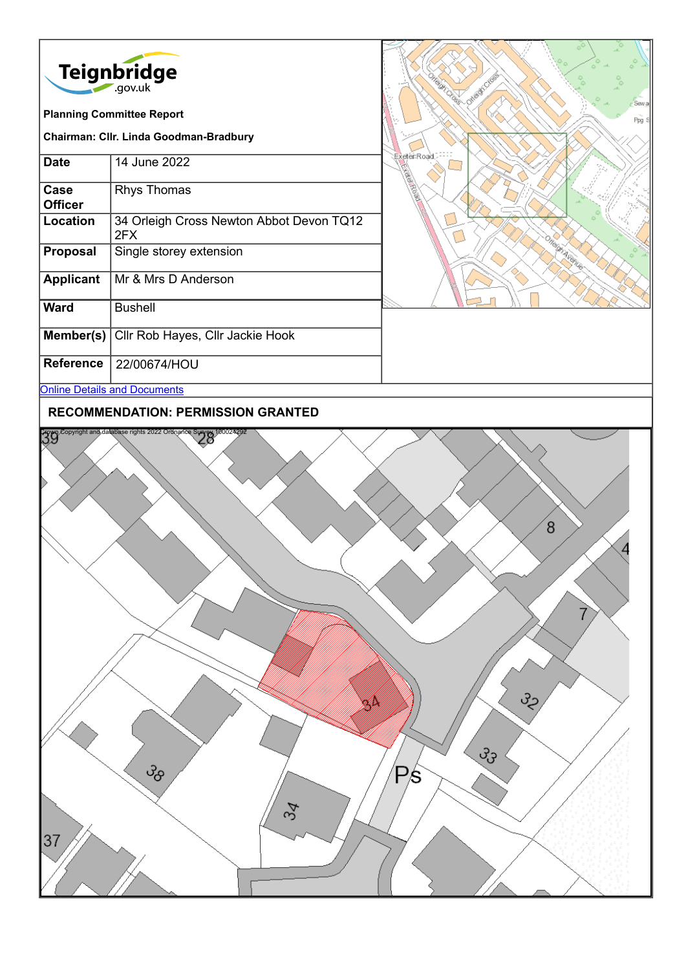| <b>Teignbridge</b><br>.gov.uk          |                                                 |
|----------------------------------------|-------------------------------------------------|
| <b>Planning Committee Report</b>       |                                                 |
| Chairman: Cllr. Linda Goodman-Bradbury |                                                 |
| <b>Date</b>                            | 14 June 2022                                    |
| Case<br><b>Officer</b>                 | <b>Rhys Thomas</b>                              |
| Location                               | 34 Orleigh Cross Newton Abbot Devon TQ12<br>2FX |
| <b>Proposal</b>                        | Single storey extension                         |
| <b>Applicant</b>                       | Mr & Mrs D Anderson                             |
| Ward                                   | <b>Bushell</b>                                  |
| Member(s)                              | Cllr Rob Hayes, Cllr Jackie Hook                |
| <b>Reference</b>                       | 22/00674/HOU                                    |
| <b>Online Details and Documents</b>    |                                                 |



**RECOMMENDATION: PERMISSION GRANTED**

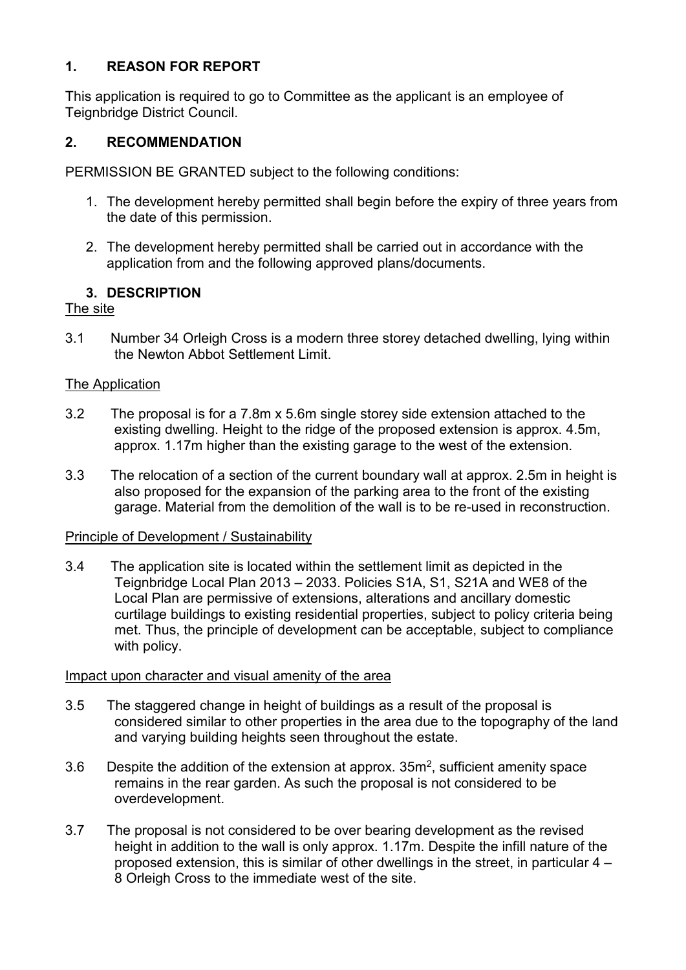### **1. REASON FOR REPORT**

This application is required to go to Committee as the applicant is an employee of Teignbridge District Council.

### **2. RECOMMENDATION**

PERMISSION BE GRANTED subject to the following conditions:

- 1. The development hereby permitted shall begin before the expiry of three years from the date of this permission.
- 2. The development hereby permitted shall be carried out in accordance with the application from and the following approved plans/documents.

# **3. DESCRIPTION**

## The site

3.1 Number 34 Orleigh Cross is a modern three storey detached dwelling, lying within the Newton Abbot Settlement Limit.

## The Application

- 3.2 The proposal is for a 7.8m x 5.6m single storey side extension attached to the existing dwelling. Height to the ridge of the proposed extension is approx. 4.5m, approx. 1.17m higher than the existing garage to the west of the extension.
- 3.3 The relocation of a section of the current boundary wall at approx. 2.5m in height is also proposed for the expansion of the parking area to the front of the existing garage. Material from the demolition of the wall is to be re-used in reconstruction.

### Principle of Development / Sustainability

3.4 The application site is located within the settlement limit as depicted in the Teignbridge Local Plan 2013 – 2033. Policies S1A, S1, S21A and WE8 of the Local Plan are permissive of extensions, alterations and ancillary domestic curtilage buildings to existing residential properties, subject to policy criteria being met. Thus, the principle of development can be acceptable, subject to compliance with policy.

### Impact upon character and visual amenity of the area

- 3.5 The staggered change in height of buildings as a result of the proposal is considered similar to other properties in the area due to the topography of the land and varying building heights seen throughout the estate.
- 3.6 Despite the addition of the extension at approx. 35m2, sufficient amenity space remains in the rear garden. As such the proposal is not considered to be overdevelopment.
- 3.7 The proposal is not considered to be over bearing development as the revised height in addition to the wall is only approx. 1.17m. Despite the infill nature of the proposed extension, this is similar of other dwellings in the street, in particular 4 – 8 Orleigh Cross to the immediate west of the site.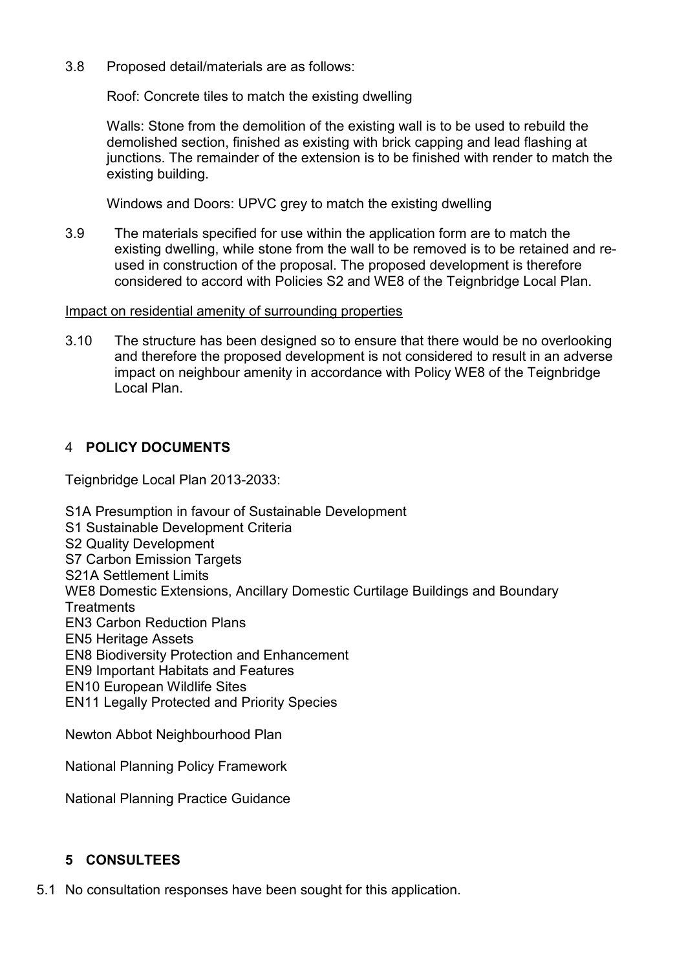3.8 Proposed detail/materials are as follows:

Roof: Concrete tiles to match the existing dwelling

Walls: Stone from the demolition of the existing wall is to be used to rebuild the demolished section, finished as existing with brick capping and lead flashing at junctions. The remainder of the extension is to be finished with render to match the existing building.

Windows and Doors: UPVC grey to match the existing dwelling

3.9 The materials specified for use within the application form are to match the existing dwelling, while stone from the wall to be removed is to be retained and reused in construction of the proposal. The proposed development is therefore considered to accord with Policies S2 and WE8 of the Teignbridge Local Plan.

#### Impact on residential amenity of surrounding properties

3.10 The structure has been designed so to ensure that there would be no overlooking and therefore the proposed development is not considered to result in an adverse impact on neighbour amenity in accordance with Policy WE8 of the Teignbridge Local Plan.

#### 4 **POLICY DOCUMENTS**

Teignbridge Local Plan 2013-2033:

S1A Presumption in favour of Sustainable Development S1 Sustainable Development Criteria S2 Quality Development S7 Carbon Emission Targets S21A Settlement Limits WE8 Domestic Extensions, Ancillary Domestic Curtilage Buildings and Boundary **Treatments** EN3 Carbon Reduction Plans EN5 Heritage Assets EN8 Biodiversity Protection and Enhancement EN9 Important Habitats and Features EN10 European Wildlife Sites EN11 Legally Protected and Priority Species

Newton Abbot Neighbourhood Plan

National Planning Policy Framework

National Planning Practice Guidance

### **5 CONSULTEES**

5.1 No consultation responses have been sought for this application.